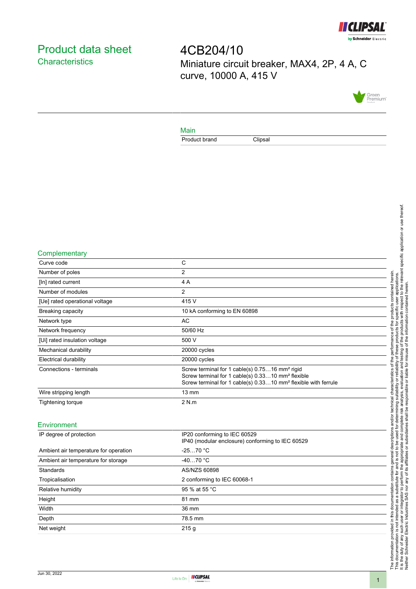

# <span id="page-0-0"></span>Product data sheet **Characteristics**

4CB204/10 Miniature circuit breaker, MAX4, 2P, 4 A, C curve, 10000 A, 415 V



### Main

Product brand Clipsal

#### **Complementary**

| Curve code                     | C                                                                                                                                                                                                         |
|--------------------------------|-----------------------------------------------------------------------------------------------------------------------------------------------------------------------------------------------------------|
| Number of poles                | 2                                                                                                                                                                                                         |
| [In] rated current             | 4 A                                                                                                                                                                                                       |
| Number of modules              | $\overline{2}$                                                                                                                                                                                            |
| [Ue] rated operational voltage | 415 V                                                                                                                                                                                                     |
| Breaking capacity              | 10 kA conforming to EN 60898                                                                                                                                                                              |
| Network type                   | AC                                                                                                                                                                                                        |
| Network frequency              | 50/60 Hz                                                                                                                                                                                                  |
| [Ui] rated insulation voltage  | 500 V                                                                                                                                                                                                     |
| Mechanical durability          | 20000 cycles                                                                                                                                                                                              |
| <b>Electrical durability</b>   | 20000 cycles                                                                                                                                                                                              |
| Connections - terminals        | Screw terminal for 1 cable(s) 0.7516 mm <sup>2</sup> rigid<br>Screw terminal for 1 cable(s) 0.3310 mm <sup>2</sup> flexible<br>Screw terminal for 1 cable(s) 0.3310 mm <sup>2</sup> flexible with ferrule |
| Wire stripping length          | $13 \text{ mm}$                                                                                                                                                                                           |
| Tightening torque              | 2 N.m                                                                                                                                                                                                     |
|                                |                                                                                                                                                                                                           |

### Environment

| IP degree of protection               | IP20 conforming to IEC 60529<br>IP40 (modular enclosure) conforming to IEC 60529 |
|---------------------------------------|----------------------------------------------------------------------------------|
| Ambient air temperature for operation | $-2570 °C$                                                                       |
| Ambient air temperature for storage   | $-4070 °C$                                                                       |
| Standards                             | AS/NZS 60898                                                                     |
| Tropicalisation                       | 2 conforming to IEC 60068-1                                                      |
| Relative humidity                     | 95 % at 55 °C                                                                    |
| Height                                | 81 mm                                                                            |
| Width                                 | 36 mm                                                                            |
| Depth                                 | 78.5 mm                                                                          |
| Net weight                            | 215g                                                                             |
|                                       |                                                                                  |